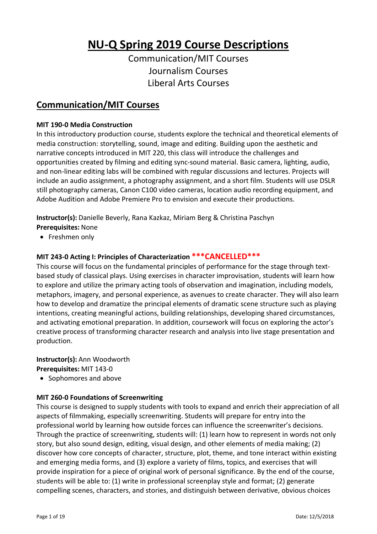# **NU-Q Spring 2019 Course Descriptions**

Communication/MIT Courses Journalism Courses Liberal Arts Courses

### **Communication/MIT Courses**

#### **MIT 190-0 Media Construction**

In this introductory production course, students explore the technical and theoretical elements of media construction: storytelling, sound, image and editing. Building upon the aesthetic and narrative concepts introduced in MIT 220, this class will introduce the challenges and opportunities created by filming and editing sync-sound material. Basic camera, lighting, audio, and non-linear editing labs will be combined with regular discussions and lectures. Projects will include an audio assignment, a photography assignment, and a short film. Students will use DSLR still photography cameras, Canon C100 video cameras, location audio recording equipment, and Adobe Audition and Adobe Premiere Pro to envision and execute their productions.

**Instructor(s):** Danielle Beverly, Rana Kazkaz, Miriam Berg & Christina Paschyn

- **Prerequisites:** None
- Freshmen only

#### **MIT 243-0 Acting I: Principles of Characterization \*\*\*CANCELLED\*\*\***

This course will focus on the fundamental principles of performance for the stage through textbased study of classical plays. Using exercises in character improvisation, students will learn how to explore and utilize the primary acting tools of observation and imagination, including models, metaphors, imagery, and personal experience, as avenues to create character. They will also learn how to develop and dramatize the principal elements of dramatic scene structure such as playing intentions, creating meaningful actions, building relationships, developing shared circumstances, and activating emotional preparation. In addition, coursework will focus on exploring the actor's creative process of transforming character research and analysis into live stage presentation and production.

**Instructor(s):** Ann Woodworth **Prerequisites:** MIT 143-0

• Sophomores and above

#### **MIT 260-0 Foundations of Screenwriting**

This course is designed to supply students with tools to expand and enrich their appreciation of all aspects of filmmaking, especially screenwriting. Students will prepare for entry into the professional world by learning how outside forces can influence the screenwriter's decisions. Through the practice of screenwriting, students will: (1) learn how to represent in words not only story, but also sound design, editing, visual design, and other elements of media making; (2) discover how core concepts of character, structure, plot, theme, and tone interact within existing and emerging media forms, and (3) explore a variety of films, topics, and exercises that will provide inspiration for a piece of original work of personal significance. By the end of the course, students will be able to: (1) write in professional screenplay style and format; (2) generate compelling scenes, characters, and stories, and distinguish between derivative, obvious choices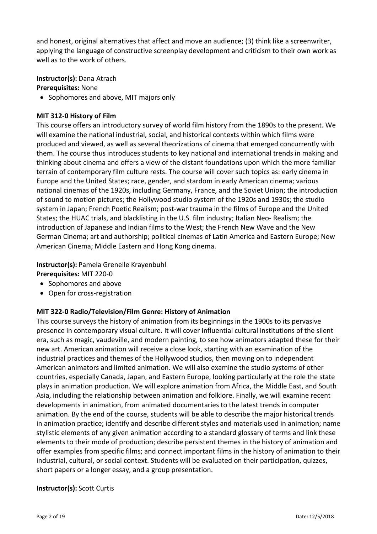and honest, original alternatives that affect and move an audience; (3) think like a screenwriter, applying the language of constructive screenplay development and criticism to their own work as well as to the work of others.

**Instructor(s):** Dana Atrach

**Prerequisites:** None

• Sophomores and above, MIT majors only

#### **MIT 312-0 History of Film**

This course offers an introductory survey of world film history from the 1890s to the present. We will examine the national industrial, social, and historical contexts within which films were produced and viewed, as well as several theorizations of cinema that emerged concurrently with them. The course thus introduces students to key national and international trends in making and thinking about cinema and offers a view of the distant foundations upon which the more familiar terrain of contemporary film culture rests. The course will cover such topics as: early cinema in Europe and the United States; race, gender, and stardom in early American cinema; various national cinemas of the 1920s, including Germany, France, and the Soviet Union; the introduction of sound to motion pictures; the Hollywood studio system of the 1920s and 1930s; the studio system in Japan; French Poetic Realism; post-war trauma in the films of Europe and the United States; the HUAC trials, and blacklisting in the U.S. film industry; Italian Neo- Realism; the introduction of Japanese and Indian films to the West; the French New Wave and the New German Cinema; art and authorship; political cinemas of Latin America and Eastern Europe; New American Cinema; Middle Eastern and Hong Kong cinema.

**Instructor(s):** Pamela Grenelle Krayenbuhl **Prerequisites:** MIT 220-0

- Sophomores and above
- Open for cross-registration

#### **MIT 322-0 Radio/Television/Film Genre: History of Animation**

This course surveys the history of animation from its beginnings in the 1900s to its pervasive presence in contemporary visual culture. It will cover influential cultural institutions of the silent era, such as magic, vaudeville, and modern painting, to see how animators adapted these for their new art. American animation will receive a close look, starting with an examination of the industrial practices and themes of the Hollywood studios, then moving on to independent American animators and limited animation. We will also examine the studio systems of other countries, especially Canada, Japan, and Eastern Europe, looking particularly at the role the state plays in animation production. We will explore animation from Africa, the Middle East, and South Asia, including the relationship between animation and folklore. Finally, we will examine recent developments in animation, from animated documentaries to the latest trends in computer animation. By the end of the course, students will be able to describe the major historical trends in animation practice; identify and describe different styles and materials used in animation; name stylistic elements of any given animation according to a standard glossary of terms and link these elements to their mode of production; describe persistent themes in the history of animation and offer examples from specific films; and connect important films in the history of animation to their industrial, cultural, or social context. Students will be evaluated on their participation, quizzes, short papers or a longer essay, and a group presentation.

#### **Instructor(s):** Scott Curtis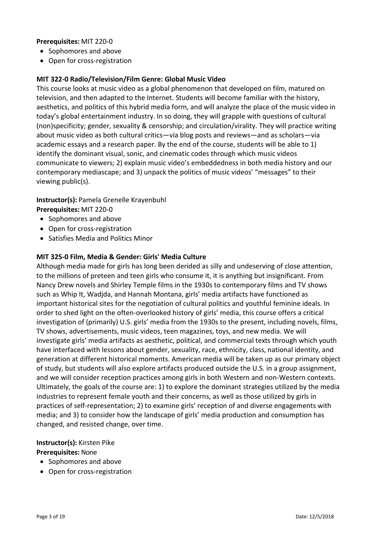#### **Prerequisites:** MIT 220-0

- Sophomores and above
- Open for cross-registration

#### **MIT 322-0 Radio/Television/Film Genre: Global Music Video**

This course looks at music video as a global phenomenon that developed on film, matured on television, and then adapted to the Internet. Students will become familiar with the history, aesthetics, and politics of this hybrid media form, and will analyze the place of the music video in today's global entertainment industry. In so doing, they will grapple with questions of cultural (non)specificity; gender, sexuality & censorship; and circulation/virality. They will practice writing about music video as both cultural critics—via blog posts and reviews—and as scholars—via academic essays and a research paper. By the end of the course, students will be able to 1) identify the dominant visual, sonic, and cinematic codes through which music videos communicate to viewers; 2) explain music video's embeddedness in both media history and our contemporary mediascape; and 3) unpack the politics of music videos' "messages" to their viewing public(s).

**Instructor(s):** Pamela Grenelle Krayenbuhl **Prerequisites:** MIT 220-0

- Sophomores and above
- Open for cross-registration
- Satisfies Media and Politics Minor

#### **MIT 325-0 Film, Media & Gender: Girls' Media Culture**

Although media made for girls has long been derided as silly and undeserving of close attention, to the millions of preteen and teen girls who consume it, it is anything but insignificant. From Nancy Drew novels and Shirley Temple films in the 1930s to contemporary films and TV shows such as Whip It, Wadjda, and Hannah Montana, girls' media artifacts have functioned as important historical sites for the negotiation of cultural politics and youthful feminine ideals. In order to shed light on the often-overlooked history of girls' media, this course offers a critical investigation of (primarily) U.S. girls' media from the 1930s to the present, including novels, films, TV shows, advertisements, music videos, teen magazines, toys, and new media. We will investigate girls' media artifacts as aesthetic, political, and commercial texts through which youth have interfaced with lessons about gender, sexuality, race, ethnicity, class, national identity, and generation at different historical moments. American media will be taken up as our primary object of study, but students will also explore artifacts produced outside the U.S. in a group assignment, and we will consider reception practices among girls in both Western and non-Western contexts. Ultimately, the goals of the course are: 1) to explore the dominant strategies utilized by the media industries to represent female youth and their concerns, as well as those utilized by girls in practices of self-representation; 2) to examine girls' reception of and diverse engagements with media; and 3) to consider how the landscape of girls' media production and consumption has changed, and resisted change, over time.

#### **Instructor(s):** Kirsten Pike

#### **Prerequisites:** None

- Sophomores and above
- Open for cross-registration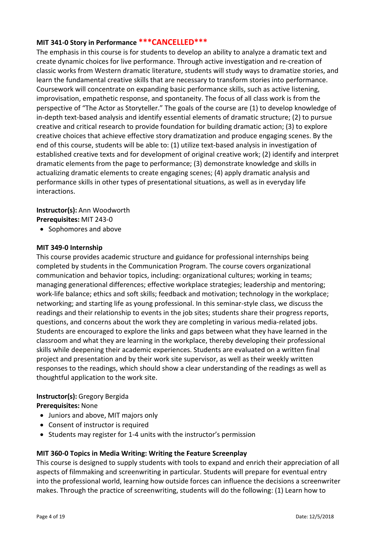#### **MIT 341-0 Story in Performance \*\*\*CANCELLED\*\*\***

The emphasis in this course is for students to develop an ability to analyze a dramatic text and create dynamic choices for live performance. Through active investigation and re-creation of classic works from Western dramatic literature, students will study ways to dramatize stories, and learn the fundamental creative skills that are necessary to transform stories into performance. Coursework will concentrate on expanding basic performance skills, such as active listening, improvisation, empathetic response, and spontaneity. The focus of all class work is from the perspective of "The Actor as Storyteller." The goals of the course are (1) to develop knowledge of in-depth text-based analysis and identify essential elements of dramatic structure; (2) to pursue creative and critical research to provide foundation for building dramatic action; (3) to explore creative choices that achieve effective story dramatization and produce engaging scenes. By the end of this course, students will be able to: (1) utilize text-based analysis in investigation of established creative texts and for development of original creative work; (2) identify and interpret dramatic elements from the page to performance; (3) demonstrate knowledge and skills in actualizing dramatic elements to create engaging scenes; (4) apply dramatic analysis and performance skills in other types of presentational situations, as well as in everyday life interactions.

## **Instructor(s):** Ann Woodworth

**Prerequisites:** MIT 243-0

• Sophomores and above

#### **MIT 349-0 Internship**

This course provides academic structure and guidance for professional internships being completed by students in the Communication Program. The course covers organizational communication and behavior topics, including: organizational cultures; working in teams; managing generational differences; effective workplace strategies; leadership and mentoring; work-life balance; ethics and soft skills; feedback and motivation; technology in the workplace; networking; and starting life as young professional. In this seminar-style class, we discuss the readings and their relationship to events in the job sites; students share their progress reports, questions, and concerns about the work they are completing in various media-related jobs. Students are encouraged to explore the links and gaps between what they have learned in the classroom and what they are learning in the workplace, thereby developing their professional skills while deepening their academic experiences. Students are evaluated on a written final project and presentation and by their work site supervisor, as well as their weekly written responses to the readings, which should show a clear understanding of the readings as well as thoughtful application to the work site.

### **Instructor(s):** Gregory Bergida

**Prerequisites:** None

- Juniors and above, MIT majors only
- Consent of instructor is required
- Students may register for 1-4 units with the instructor's permission

#### **MIT 360-0 Topics in Media Writing: Writing the Feature Screenplay**

This course is designed to supply students with tools to expand and enrich their appreciation of all aspects of filmmaking and screenwriting in particular. Students will prepare for eventual entry into the professional world, learning how outside forces can influence the decisions a screenwriter makes. Through the practice of screenwriting, students will do the following: (1) Learn how to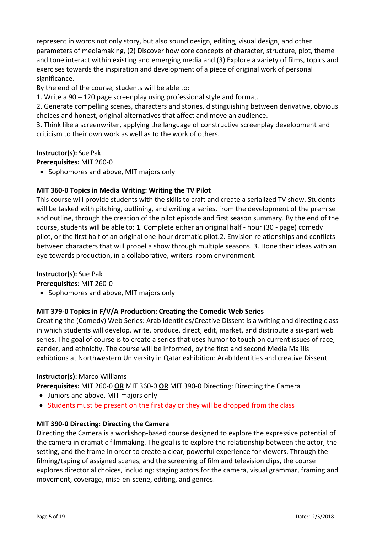represent in words not only story, but also sound design, editing, visual design, and other parameters of mediamaking, (2) Discover how core concepts of character, structure, plot, theme and tone interact within existing and emerging media and (3) Explore a variety of films, topics and exercises towards the inspiration and development of a piece of original work of personal significance.

By the end of the course, students will be able to:

1. Write a 90 – 120 page screenplay using professional style and format.

2. Generate compelling scenes, characters and stories, distinguishing between derivative, obvious choices and honest, original alternatives that affect and move an audience.

3. Think like a screenwriter, applying the language of constructive screenplay development and criticism to their own work as well as to the work of others.

#### **Instructor(s):** Sue Pak

**Prerequisites:** MIT 260-0

• Sophomores and above, MIT majors only

#### **MIT 360-0 Topics in Media Writing: Writing the TV Pilot**

This course will provide students with the skills to craft and create a serialized TV show. Students will be tasked with pitching, outlining, and writing a series, from the development of the premise and outline, through the creation of the pilot episode and first season summary. By the end of the course, students will be able to: 1. Complete either an original half - hour (30 - page) comedy pilot, or the first half of an original one-hour dramatic pilot.2. Envision relationships and conflicts between characters that will propel a show through multiple seasons. 3. Hone their ideas with an eye towards production, in a collaborative, writers' room environment.

#### **Instructor(s):** Sue Pak

**Prerequisites:** MIT 260-0

• Sophomores and above, MIT majors only

#### **MIT 379-0 Topics in F/V/A Production: Creating the Comedic Web Series**

Creating the (Comedy) Web Series: Arab Identities/Creative Dissent is a writing and directing class in which students will develop, write, produce, direct, edit, market, and distribute a six-part web series. The goal of course is to create a series that uses humor to touch on current issues of race, gender, and ethnicity. The course will be informed, by the first and second Media Majilis exhibtions at Northwestern University in Qatar exhibition: Arab Identities and creative Dissent.

#### **Instructor(s):** Marco Williams

**Prerequisites:** MIT 260-0 **OR** MIT 360-0 **OR** MIT 390-0 Directing: Directing the Camera

- Juniors and above, MIT majors only
- Students must be present on the first day or they will be dropped from the class

#### **MIT 390-0 Directing: Directing the Camera**

Directing the Camera is a workshop-based course designed to explore the expressive potential of the camera in dramatic filmmaking. The goal is to explore the relationship between the actor, the setting, and the frame in order to create a clear, powerful experience for viewers. Through the filming/taping of assigned scenes, and the screening of film and television clips, the course explores directorial choices, including: staging actors for the camera, visual grammar, framing and movement, coverage, mise-en-scene, editing, and genres.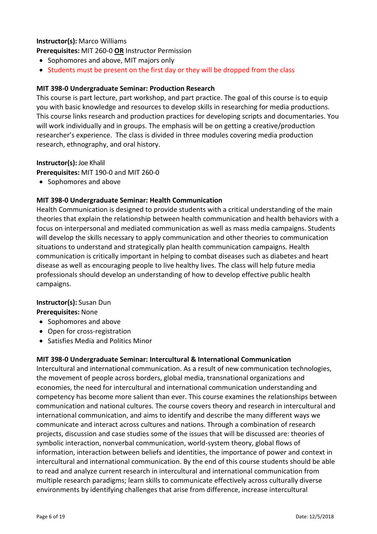#### **Instructor(s):** Marco Williams

**Prerequisites:** MIT 260-0 **OR** Instructor Permission

- Sophomores and above, MIT majors only
- Students must be present on the first day or they will be dropped from the class

#### **MIT 398-0 Undergraduate Seminar: Production Research**

This course is part lecture, part workshop, and part practice. The goal of this course is to equip you with basic knowledge and resources to develop skills in researching for media productions. This course links research and production practices for developing scripts and documentaries. You will work individually and in groups. The emphasis will be on getting a creative/production researcher's experience. The class is divided in three modules covering media production research, ethnography, and oral history.

#### **Instructor(s):** Joe Khalil

**Prerequisites:** MIT 190-0 and MIT 260-0

• Sophomores and above

#### **MIT 398-0 Undergraduate Seminar: Health Communication**

Health Communication is designed to provide students with a critical understanding of the main theories that explain the relationship between health communication and health behaviors with a focus on interpersonal and mediated communication as well as mass media campaigns. Students will develop the skills necessary to apply communication and other theories to communication situations to understand and strategically plan health communication campaigns. Health communication is critically important in helping to combat diseases such as diabetes and heart disease as well as encouraging people to live healthy lives. The class will help future media professionals should develop an understanding of how to develop effective public health campaigns.

#### **Instructor(s):** Susan Dun

#### **Prerequisites:** None

- Sophomores and above
- Open for cross-registration
- Satisfies Media and Politics Minor

#### **MIT 398-0 Undergraduate Seminar: Intercultural & International Communication**

Intercultural and international communication. As a result of new communication technologies, the movement of people across borders, global media, transnational organizations and economies, the need for intercultural and international communication understanding and competency has become more salient than ever. This course examines the relationships between communication and national cultures. The course covers theory and research in intercultural and international communication, and aims to identify and describe the many different ways we communicate and interact across cultures and nations. Through a combination of research projects, discussion and case studies some of the issues that will be discussed are: theories of symbolic interaction, nonverbal communication, world-system theory, global flows of information, interaction between beliefs and identities, the importance of power and context in intercultural and international communication. By the end of this course students should be able to read and analyze current research in intercultural and international communication from multiple research paradigms; learn skills to communicate effectively across culturally diverse environments by identifying challenges that arise from difference, increase intercultural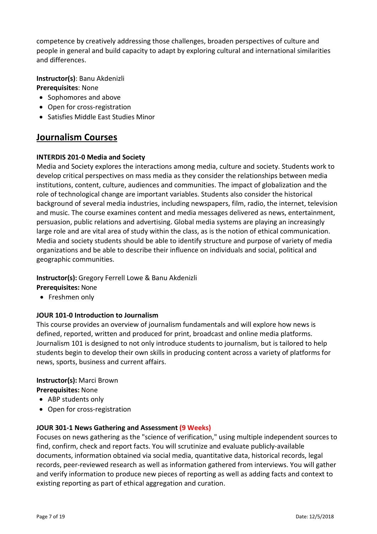competence by creatively addressing those challenges, broaden perspectives of culture and people in general and build capacity to adapt by exploring cultural and international similarities and differences.

**Instructor(s)**: Banu Akdenizli **Prerequisites**: None

- Sophomores and above
- Open for cross-registration
- Satisfies Middle East Studies Minor

### **Journalism Courses**

#### **INTERDIS 201-0 Media and Society**

Media and Society explores the interactions among media, culture and society. Students work to develop critical perspectives on mass media as they consider the relationships between media institutions, content, culture, audiences and communities. The impact of globalization and the role of technological change are important variables. Students also consider the historical background of several media industries, including newspapers, film, radio, the internet, television and music. The course examines content and media messages delivered as news, entertainment, persuasion, public relations and advertising. Global media systems are playing an increasingly large role and are vital area of study within the class, as is the notion of ethical communication. Media and society students should be able to identify structure and purpose of variety of media organizations and be able to describe their influence on individuals and social, political and geographic communities.

**Instructor(s):** Gregory Ferrell Lowe & Banu Akdenizli

- **Prerequisites:** None
- Freshmen only

#### **JOUR 101-0 Introduction to Journalism**

This course provides an overview of journalism fundamentals and will explore how news is defined, reported, written and produced for print, broadcast and online media platforms. Journalism 101 is designed to not only introduce students to journalism, but is tailored to help students begin to develop their own skills in producing content across a variety of platforms for news, sports, business and current affairs.

#### **Instructor(s):** Marci Brown **Prerequisites:** None

- ABP students only
- Open for cross-registration

#### **JOUR 301-1 News Gathering and Assessment (9 Weeks)**

Focuses on news gathering as the "science of verification," using multiple independent sources to find, confirm, check and report facts. You will scrutinize and evaluate publicly-available documents, information obtained via social media, quantitative data, historical records, legal records, peer-reviewed research as well as information gathered from interviews. You will gather and verify information to produce new pieces of reporting as well as adding facts and context to existing reporting as part of ethical aggregation and curation.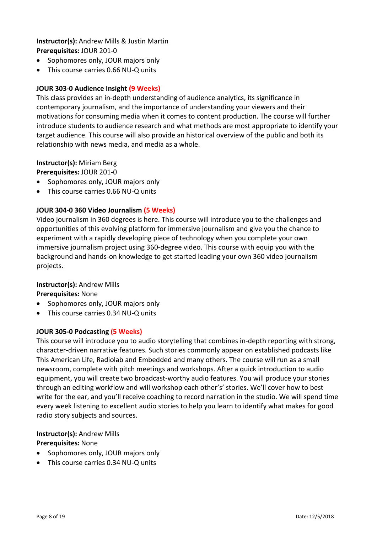#### **Instructor(s):** Andrew Mills & Justin Martin **Prerequisites:** JOUR 201-0

- Sophomores only, JOUR majors only
- This course carries 0.66 NU-Q units

#### **JOUR 303-0 Audience Insight (9 Weeks)**

This class provides an in-depth understanding of audience analytics, its significance in contemporary journalism, and the importance of understanding your viewers and their motivations for consuming media when it comes to content production. The course will further introduce students to audience research and what methods are most appropriate to identify your target audience. This course will also provide an historical overview of the public and both its relationship with news media, and media as a whole.

#### **Instructor(s):** Miriam Berg **Prerequisites:** JOUR 201-0

- Sophomores only, JOUR majors only
- This course carries 0.66 NU-Q units

#### **JOUR 304-0 360 Video Journalism (5 Weeks)**

Video journalism in 360 degrees is here. This course will introduce you to the challenges and opportunities of this evolving platform for immersive journalism and give you the chance to experiment with a rapidly developing piece of technology when you complete your own immersive journalism project using 360-degree video. This course with equip you with the background and hands-on knowledge to get started leading your own 360 video journalism projects.

#### **Instructor(s):** Andrew Mills

**Prerequisites:** None

- Sophomores only, JOUR majors only
- This course carries 0.34 NU-Q units

#### **JOUR 305-0 Podcasting (5 Weeks)**

This course will introduce you to audio storytelling that combines in-depth reporting with strong, character-driven narrative features. Such stories commonly appear on established podcasts like This American Life, Radiolab and Embedded and many others. The course will run as a small newsroom, complete with pitch meetings and workshops. After a quick introduction to audio equipment, you will create two broadcast-worthy audio features. You will produce your stories through an editing workflow and will workshop each other's' stories. We'll cover how to best write for the ear, and you'll receive coaching to record narration in the studio. We will spend time every week listening to excellent audio stories to help you learn to identify what makes for good radio story subjects and sources.

#### **Instructor(s):** Andrew Mills **Prerequisites:** None

- Sophomores only, JOUR majors only
- This course carries 0.34 NU-Q units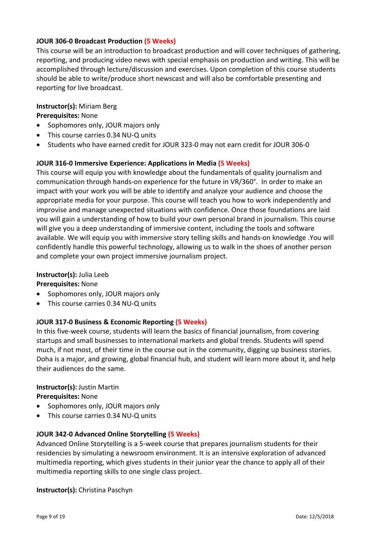#### **JOUR 306-0 Broadcast Production (5 Weeks)**

This course will be an introduction to broadcast production and will cover techniques of gathering, reporting, and producing video news with special emphasis on production and writing. This will be accomplished through lecture/discussion and exercises. Upon completion of this course students should be able to write/produce short newscast and will also be comfortable presenting and reporting for live broadcast.

#### **Instructor(s):** Miriam Berg

**Prerequisites:** None

- Sophomores only, JOUR majors only
- This course carries 0.34 NU-Q units
- Students who have earned credit for JOUR 323-0 may not earn credit for JOUR 306-0

#### **JOUR 316-0 Immersive Experience: Applications in Media (5 Weeks)**

This course will equip you with knowledge about the fundamentals of quality journalism and communication through hands-on experience for the future in VR/360°. In order to make an impact with your work you will be able to identify and analyze your audience and choose the appropriate media for your purpose. This course will teach you how to work independently and improvise and manage unexpected situations with confidence. Once those foundations are laid you will gain a understanding of how to build your own personal brand in journalism. This course will give you a deep understanding of immersive content, including the tools and software available. We will equip you with immersive story telling skills and hands-on knowledge .You will confidently handle this powerful technology, allowing us to walk in the shoes of another person and complete your own project immersive journalism project.

#### **Instructor(s):** Julia Leeb

**Prerequisites:** None

- Sophomores only, JOUR majors only
- This course carries 0.34 NU-Q units

#### **JOUR 317-0 Business & Economic Reporting (5 Weeks)**

In this five-week course, students will learn the basics of financial journalism, from covering startups and small businesses to international markets and global trends. Students will spend much, if not most, of their time in the course out in the community, digging up business stories. Doha is a major, and growing, global financial hub, and student will learn more about it, and help their audiences do the same.

#### **Instructor(s):** Justin Martin

**Prerequisites:** None

- Sophomores only, JOUR majors only
- This course carries 0.34 NU-Q units

#### **JOUR 342-0 Advanced Online Storytelling (5 Weeks)**

Advanced Online Storytelling is a 5-week course that prepares journalism students for their residencies by simulating a newsroom environment. It is an intensive exploration of advanced multimedia reporting, which gives students in their junior year the chance to apply all of their multimedia reporting skills to one single class project.

**Instructor(s):** Christina Paschyn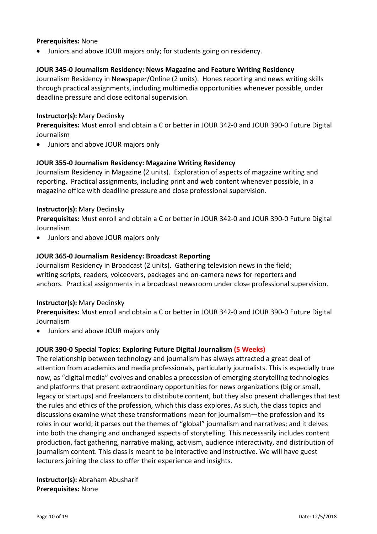#### **Prerequisites:** None

• Juniors and above JOUR majors only; for students going on residency.

#### **JOUR 345-0 Journalism Residency: News Magazine and Feature Writing Residency**

Journalism Residency in Newspaper/Online (2 units). Hones reporting and news writing skills through practical assignments, including multimedia opportunities whenever possible, under deadline pressure and close editorial supervision.

#### **Instructor(s):** Mary Dedinsky

**Prerequisites:** Must enroll and obtain a C or better in JOUR 342-0 and JOUR 390-0 Future Digital Journalism

• Juniors and above JOUR majors only

#### **JOUR 355-0 Journalism Residency: Magazine Writing Residency**

Journalism Residency in Magazine (2 units). Exploration of aspects of magazine writing and reporting. Practical assignments, including print and web content whenever possible, in a magazine office with deadline pressure and close professional supervision.

#### **Instructor(s):** Mary Dedinsky

**Prerequisites:** Must enroll and obtain a C or better in JOUR 342-0 and JOUR 390-0 Future Digital Journalism

• Juniors and above JOUR majors only

#### **JOUR 365-0 Journalism Residency: Broadcast Reporting**

Journalism Residency in Broadcast (2 units). Gathering television news in the field; writing scripts, readers, voiceovers, packages and on-camera news for reporters and anchors. Practical assignments in a broadcast newsroom under close professional supervision.

#### **Instructor(s):** Mary Dedinsky

**Prerequisites:** Must enroll and obtain a C or better in JOUR 342-0 and JOUR 390-0 Future Digital Journalism

• Juniors and above JOUR majors only

#### **JOUR 390-0 Special Topics: Exploring Future Digital Journalism (5 Weeks)**

The relationship between technology and journalism has always attracted a great deal of attention from academics and media professionals, particularly journalists. This is especially true now, as "digital media" evolves and enables a procession of emerging storytelling technologies and platforms that present extraordinary opportunities for news organizations (big or small, legacy or startups) and freelancers to distribute content, but they also present challenges that test the rules and ethics of the profession, which this class explores. As such, the class topics and discussions examine what these transformations mean for journalism—the profession and its roles in our world; it parses out the themes of "global" journalism and narratives; and it delves into both the changing and unchanged aspects of storytelling. This necessarily includes content production, fact gathering, narrative making, activism, audience interactivity, and distribution of journalism content. This class is meant to be interactive and instructive. We will have guest lecturers joining the class to offer their experience and insights.

**Instructor(s):** Abraham Abusharif **Prerequisites:** None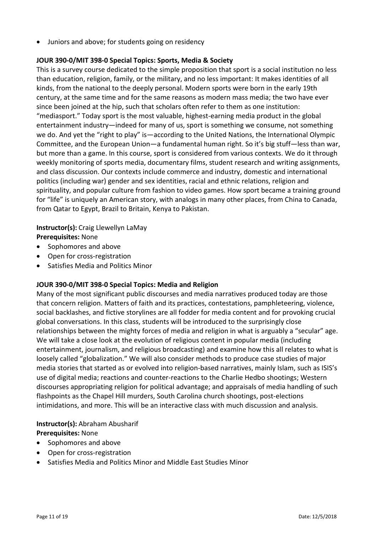• Juniors and above; for students going on residency

#### **JOUR 390-0/MIT 398-0 Special Topics: Sports, Media & Society**

This is a survey course dedicated to the simple proposition that sport is a social institution no less than education, religion, family, or the military, and no less important: It makes identities of all kinds, from the national to the deeply personal. Modern sports were born in the early 19th century, at the same time and for the same reasons as modern mass media; the two have ever since been joined at the hip, such that scholars often refer to them as one institution: "mediasport." Today sport is the most valuable, highest-earning media product in the global entertainment industry—indeed for many of us, sport is something we consume, not something we do. And yet the "right to play" is—according to the United Nations, the International Olympic Committee, and the European Union—a fundamental human right. So it's big stuff—less than war, but more than a game. In this course, sport is considered from various contexts. We do it through weekly monitoring of sports media, documentary films, student research and writing assignments, and class discussion. Our contexts include commerce and industry, domestic and international politics (including war) gender and sex identities, racial and ethnic relations, religion and spirituality, and popular culture from fashion to video games. How sport became a training ground for "life" is uniquely an American story, with analogs in many other places, from China to Canada, from Qatar to Egypt, Brazil to Britain, Kenya to Pakistan.

#### **Instructor(s):** Craig Llewellyn LaMay **Prerequisites:** None

- Sophomores and above
- Open for cross-registration
- Satisfies Media and Politics Minor

#### **JOUR 390-0/MIT 398-0 Special Topics: Media and Religion**

Many of the most significant public discourses and media narratives produced today are those that concern religion. Matters of faith and its practices, contestations, pamphleteering, violence, social backlashes, and fictive storylines are all fodder for media content and for provoking crucial global conversations. In this class, students will be introduced to the surprisingly close relationships between the mighty forces of media and religion in what is arguably a "secular" age. We will take a close look at the evolution of religious content in popular media (including entertainment, journalism, and religious broadcasting) and examine how this all relates to what is loosely called "globalization." We will also consider methods to produce case studies of major media stories that started as or evolved into religion-based narratives, mainly Islam, such as ISIS's use of digital media; reactions and counter-reactions to the Charlie Hedbo shootings; Western discourses appropriating religion for political advantage; and appraisals of media handling of such flashpoints as the Chapel Hill murders, South Carolina church shootings, post-elections intimidations, and more. This will be an interactive class with much discussion and analysis.

#### **Instructor(s):** Abraham Abusharif **Prerequisites:** None

- Sophomores and above
- Open for cross-registration
- Satisfies Media and Politics Minor and Middle East Studies Minor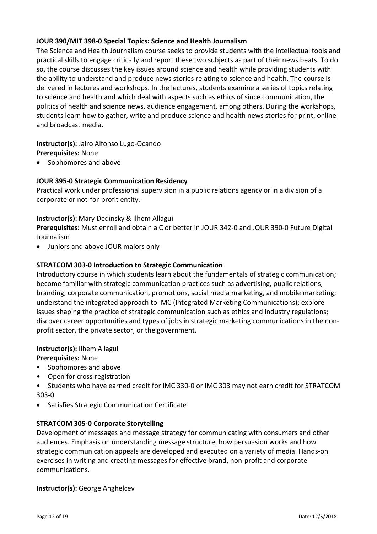#### **JOUR 390/MIT 398-0 Special Topics: Science and Health Journalism**

The Science and Health Journalism course seeks to provide students with the intellectual tools and practical skills to engage critically and report these two subjects as part of their news beats. To do so, the course discusses the key issues around science and health while providing students with the ability to understand and produce news stories relating to science and health. The course is delivered in lectures and workshops. In the lectures, students examine a series of topics relating to science and health and which deal with aspects such as ethics of since communication, the politics of health and science news, audience engagement, among others. During the workshops, students learn how to gather, write and produce science and health news stories for print, online and broadcast media.

**Instructor(s):** Jairo Alfonso Lugo-Ocando **Prerequisites:** None

• Sophomores and above

#### **JOUR 395-0 Strategic Communication Residency**

Practical work under professional supervision in a public relations agency or in a division of a corporate or not-for-profit entity.

#### **Instructor(s):** Mary Dedinsky & Ilhem Allagui

**Prerequisites:** Must enroll and obtain a C or better in JOUR 342-0 and JOUR 390-0 Future Digital Journalism

• Juniors and above JOUR majors only

#### **STRATCOM 303-0 Introduction to Strategic Communication**

Introductory course in which students learn about the fundamentals of strategic communication; become familiar with strategic communication practices such as advertising, public relations, branding, corporate communication, promotions, social media marketing, and mobile marketing; understand the integrated approach to IMC (Integrated Marketing Communications); explore issues shaping the practice of strategic communication such as ethics and industry regulations; discover career opportunities and types of jobs in strategic marketing communications in the nonprofit sector, the private sector, or the government.

#### **Instructor(s):** Ilhem Allagui

**Prerequisites:** None

- Sophomores and above
- Open for cross-registration
- Students who have earned credit for IMC 330-0 or IMC 303 may not earn credit for STRATCOM 303-0
- Satisfies Strategic Communication Certificate

#### **STRATCOM 305-0 Corporate Storytelling**

Development of messages and message strategy for communicating with consumers and other audiences. Emphasis on understanding message structure, how persuasion works and how strategic communication appeals are developed and executed on a variety of media. Hands-on exercises in writing and creating messages for effective brand, non-profit and corporate communications.

#### **Instructor(s):** George Anghelcev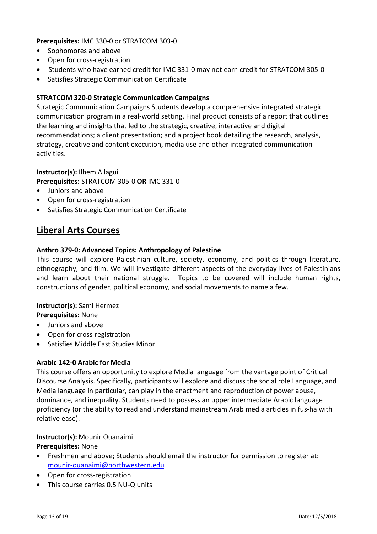**Prerequisites:** IMC 330-0 or STRATCOM 303-0

- Sophomores and above
- Open for cross-registration
- Students who have earned credit for IMC 331-0 may not earn credit for STRATCOM 305-0
- Satisfies Strategic Communication Certificate

#### **STRATCOM 320-0 Strategic Communication Campaigns**

Strategic Communication Campaigns Students develop a comprehensive integrated strategic communication program in a real-world setting. Final product consists of a report that outlines the learning and insights that led to the strategic, creative, interactive and digital recommendations; a client presentation; and a project book detailing the research, analysis, strategy, creative and content execution, media use and other integrated communication activities.

#### **Instructor(s):** Ilhem Allagui

**Prerequisites:** STRATCOM 305-0 **OR** IMC 331-0

- Juniors and above
- Open for cross-registration
- Satisfies Strategic Communication Certificate

### **Liberal Arts Courses**

#### **Anthro 379-0: Advanced Topics: Anthropology of Palestine**

This course will explore Palestinian culture, society, economy, and politics through literature, ethnography, and film. We will investigate different aspects of the everyday lives of Palestinians and learn about their national struggle. Topics to be covered will include human rights, constructions of gender, political economy, and social movements to name a few.

#### **Instructor(s):** Sami Hermez

#### **Prerequisites:** None

- Juniors and above
- Open for cross-registration
- Satisfies Middle East Studies Minor

#### **Arabic 142-0 Arabic for Media**

This course offers an opportunity to explore Media language from the vantage point of Critical Discourse Analysis. Specifically, participants will explore and discuss the social role Language, and Media language in particular, can play in the enactment and reproduction of power abuse, dominance, and inequality. Students need to possess an upper intermediate Arabic language proficiency (or the ability to read and understand mainstream Arab media articles in fus-ha with relative ease).

#### **Instructor(s):** Mounir Ouanaimi

#### **Prerequisites:** None

- Freshmen and above; Students should email the instructor for permission to register at: [mounir-ouanaimi@northwestern.edu](mailto:mounir-ouanaimi@northwestern.edu)
- Open for cross-registration
- This course carries 0.5 NU-Q units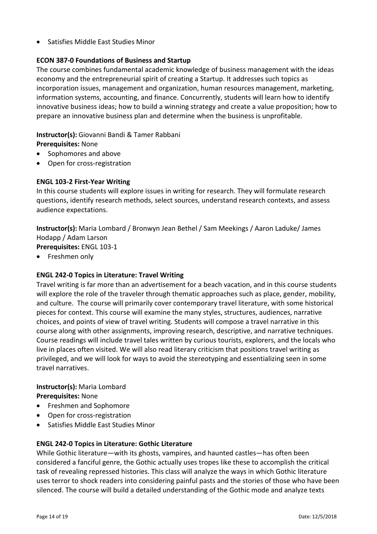• Satisfies Middle East Studies Minor

### **ECON 387-0 Foundations of Business and Startup**

The course combines fundamental academic knowledge of business management with the ideas economy and the entrepreneurial spirit of creating a Startup. It addresses such topics as incorporation issues, management and organization, human resources management, marketing, information systems, accounting, and finance. Concurrently, students will learn how to identify innovative business ideas; how to build a winning strategy and create a value proposition; how to prepare an innovative business plan and determine when the business is unprofitable.

#### **Instructor(s):** Giovanni Bandi & Tamer Rabbani

**Prerequisites:** None

- Sophomores and above
- Open for cross-registration

#### **ENGL 103-2 First-Year Writing**

In this course students will explore issues in writing for research. They will formulate research questions, identify research methods, select sources, understand research contexts, and assess audience expectations.

**Instructor(s):** Maria Lombard / Bronwyn Jean Bethel / Sam Meekings / Aaron Laduke/ James Hodapp / Adam Larson

**Prerequisites:** ENGL 103-1

• Freshmen only

#### **ENGL 242-0 Topics in Literature: Travel Writing**

Travel writing is far more than an advertisement for a beach vacation, and in this course students will explore the role of the traveler through thematic approaches such as place, gender, mobility, and culture. The course will primarily cover contemporary travel literature, with some historical pieces for context. This course will examine the many styles, structures, audiences, narrative choices, and points of view of travel writing. Students will compose a travel narrative in this course along with other assignments, improving research, descriptive, and narrative techniques. Course readings will include travel tales written by curious tourists, explorers, and the locals who live in places often visited. We will also read literary criticism that positions travel writing as privileged, and we will look for ways to avoid the stereotyping and essentializing seen in some travel narratives.

#### **Instructor(s):** Maria Lombard **Prerequisites:** None

- Freshmen and Sophomore
- Open for cross-registration
- Satisfies Middle East Studies Minor

#### **ENGL 242-0 Topics in Literature: Gothic Literature**

While Gothic literature—with its ghosts, vampires, and haunted castles—has often been considered a fanciful genre, the Gothic actually uses tropes like these to accomplish the critical task of revealing repressed histories. This class will analyze the ways in which Gothic literature uses terror to shock readers into considering painful pasts and the stories of those who have been silenced. The course will build a detailed understanding of the Gothic mode and analyze texts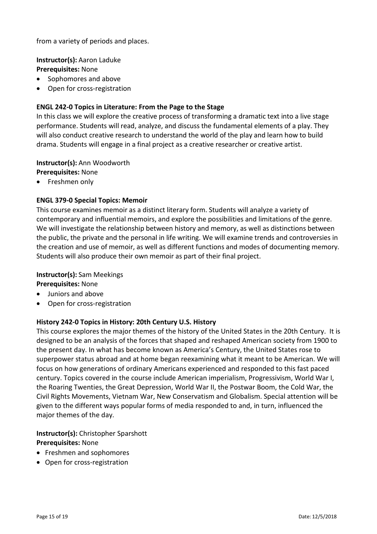from a variety of periods and places.

**Instructor(s):** Aaron Laduke **Prerequisites:** None

- Sophomores and above
- Open for cross-registration

#### **ENGL 242-0 Topics in Literature: From the Page to the Stage**

In this class we will explore the creative process of transforming a dramatic text into a live stage performance. Students will read, analyze, and discuss the fundamental elements of a play. They will also conduct creative research to understand the world of the play and learn how to build drama. Students will engage in a final project as a creative researcher or creative artist.

**Instructor(s):** Ann Woodworth **Prerequisites:** None

• Freshmen only

#### **ENGL 379-0 Special Topics: Memoir**

This course examines memoir as a distinct literary form. Students will analyze a variety of contemporary and influential memoirs, and explore the possibilities and limitations of the genre. We will investigate the relationship between history and memory, as well as distinctions between the public, the private and the personal in life writing. We will examine trends and controversies in the creation and use of memoir, as well as different functions and modes of documenting memory. Students will also produce their own memoir as part of their final project.

#### **Instructor(s):** Sam Meekings

**Prerequisites:** None

- Juniors and above
- Open for cross-registration

#### **History 242-0 Topics in History: 20th Century U.S. History**

This course explores the major themes of the history of the United States in the 20th Century. It is designed to be an analysis of the forces that shaped and reshaped American society from 1900 to the present day. In what has become known as America's Century, the United States rose to superpower status abroad and at home began reexamining what it meant to be American. We will focus on how generations of ordinary Americans experienced and responded to this fast paced century. Topics covered in the course include American imperialism, Progressivism, World War I, the Roaring Twenties, the Great Depression, World War II, the Postwar Boom, the Cold War, the Civil Rights Movements, Vietnam War, New Conservatism and Globalism. Special attention will be given to the different ways popular forms of media responded to and, in turn, influenced the major themes of the day.

**Instructor(s):** Christopher Sparshott **Prerequisites:** None

- Freshmen and sophomores
- Open for cross-registration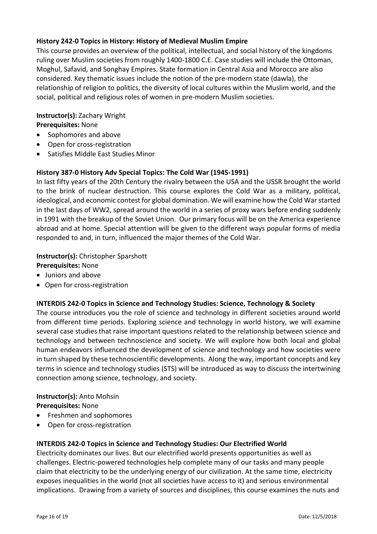#### **History 242-0 Topics in History: History of Medieval Muslim Empire**

This course provides an overview of the political, intellectual, and social history of the kingdoms ruling over Muslim societies from roughly 1400-1800 C.E. Case studies will include the Ottoman, Moghul, Safavid, and Songhay Empires. State formation in Central Asia and Morocco are also considered. Key thematic issues include the notion of the pre-modern state (dawla), the relationship of religion to politics, the diversity of local cultures within the Muslim world, and the social, political and religious roles of women in pre-modern Muslim societies.

#### **Instructor(s):** Zachary Wright

**Prerequisites:** None

- Sophomores and above
- Open for cross-registration
- Satisfies Middle East Studies Minor

#### **History 387-0 History Adv Special Topics: The Cold War (1945-1991)**

In last fifty years of the 20th Century the rivalry between the USA and the USSR brought the world to the brink of nuclear destruction. This course explores the Cold War as a military, political, ideological, and economic contest for global domination. We will examine how the Cold War started in the last days of WW2, spread around the world in a series of proxy wars before ending suddenly in 1991 with the breakup of the Soviet Union. Our primary focus will be on the America experience abroad and at home. Special attention will be given to the different ways popular forms of media responded to and, in turn, influenced the major themes of the Cold War.

#### **Instructor(s):** Christopher Sparshott

#### **Prerequisites:** None

- Juniors and above
- Open for cross-registration

#### **INTERDIS 242-0 Topics in Science and Technology Studies: Science, Technology & Society**

The course introduces you the role of science and technology in different societies around world from different time periods. Exploring science and technology in world history, we will examine several case studies that raise important questions related to the relationship between science and technology and between technoscience and society. We will explore how both local and global human endeavors influenced the development of science and technology and how societies were in turn shaped by these technoscientific developments. Along the way, important concepts and key terms in science and technology studies (STS) will be introduced as way to discuss the intertwining connection among science, technology, and society.

#### **Instructor(s):** Anto Mohsin **Prerequisites:** None

- Freshmen and sophomores
- Open for cross-registration

#### **INTERDIS 242-0 Topics in Science and Technology Studies: Our Electrified World**

Electricity dominates our lives. But our electrified world presents opportunities as well as challenges. Electric-powered technologies help complete many of our tasks and many people claim that electricity to be the underlying energy of our civilization. At the same time, electricity exposes inequalities in the world (not all societies have access to it) and serious environmental implications. Drawing from a variety of sources and disciplines, this course examines the nuts and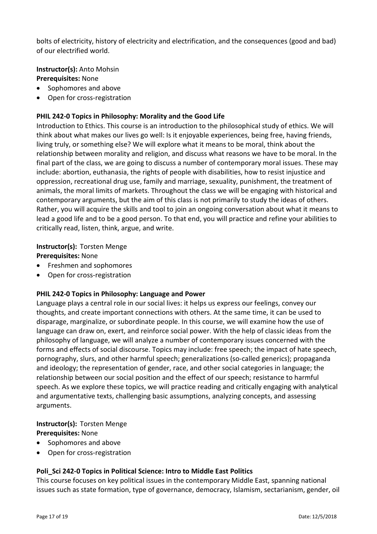bolts of electricity, history of electricity and electrification, and the consequences (good and bad) of our electrified world.

**Instructor(s):** Anto Mohsin **Prerequisites:** None

- Sophomores and above
- Open for cross-registration

#### **PHIL 242-0 Topics in Philosophy: Morality and the Good Life**

Introduction to Ethics. This course is an introduction to the philosophical study of ethics. We will think about what makes our lives go well: Is it enjoyable experiences, being free, having friends, living truly, or something else? We will explore what it means to be moral, think about the relationship between morality and religion, and discuss what reasons we have to be moral. In the final part of the class, we are going to discuss a number of contemporary moral issues. These may include: abortion, euthanasia, the rights of people with disabilities, how to resist injustice and oppression, recreational drug use, family and marriage, sexuality, punishment, the treatment of animals, the moral limits of markets. Throughout the class we will be engaging with historical and contemporary arguments, but the aim of this class is not primarily to study the ideas of others. Rather, you will acquire the skills and tool to join an ongoing conversation about what it means to lead a good life and to be a good person. To that end, you will practice and refine your abilities to critically read, listen, think, argue, and write.

**Instructor(s):** Torsten Menge **Prerequisites:** None

- Freshmen and sophomores
- Open for cross-registration

#### **PHIL 242-0 Topics in Philosophy: Language and Power**

Language plays a central role in our social lives: it helps us express our feelings, convey our thoughts, and create important connections with others. At the same time, it can be used to disparage, marginalize, or subordinate people. In this course, we will examine how the use of language can draw on, exert, and reinforce social power. With the help of classic ideas from the philosophy of language, we will analyze a number of contemporary issues concerned with the forms and effects of social discourse. Topics may include: free speech; the impact of hate speech, pornography, slurs, and other harmful speech; generalizations (so-called generics); propaganda and ideology; the representation of gender, race, and other social categories in language; the relationship between our social position and the effect of our speech; resistance to harmful speech. As we explore these topics, we will practice reading and critically engaging with analytical and argumentative texts, challenging basic assumptions, analyzing concepts, and assessing arguments.

**Instructor(s):** Torsten Menge **Prerequisites:** None

- Sophomores and above
- Open for cross-registration

#### **Poli\_Sci 242-0 Topics in Political Science: Intro to Middle East Politics**

This course focuses on key political issues in the contemporary Middle East, spanning national issues such as state formation, type of governance, democracy, Islamism, sectarianism, gender, oil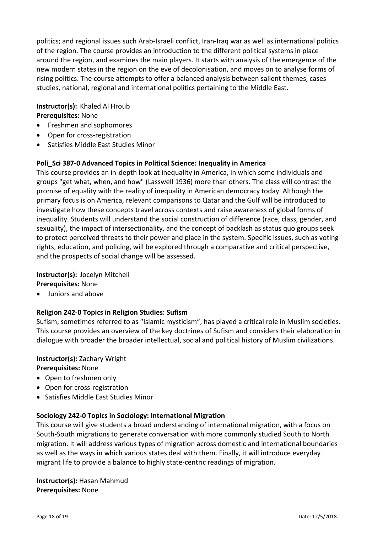politics; and regional issues such Arab-Israeli conflict, Iran-Iraq war as well as international politics of the region. The course provides an introduction to the different political systems in place around the region, and examines the main players. It starts with analysis of the emergence of the new modern states in the region on the eve of decolonisation, and moves on to analyse forms of rising politics. The course attempts to offer a balanced analysis between salient themes, cases studies, national, regional and international politics pertaining to the Middle East.

#### **Instructor(s):** Khaled Al Hroub **Prerequisites:** None

- Freshmen and sophomores
- Open for cross-registration
- Satisfies Middle East Studies Minor

#### **Poli\_Sci 387-0 Advanced Topics in Political Science: Inequality in America**

This course provides an in-depth look at inequality in America, in which some individuals and groups "get what, when, and how" (Lasswell 1936) more than others. The class will contrast the promise of equality with the reality of inequality in American democracy today. Although the primary focus is on America, relevant comparisons to Qatar and the Gulf will be introduced to investigate how these concepts travel across contexts and raise awareness of global forms of inequality. Students will understand the social construction of difference (race, class, gender, and sexuality), the impact of intersectionality, and the concept of backlash as status quo groups seek to protect perceived threats to their power and place in the system. Specific issues, such as voting rights, education, and policing, will be explored through a comparative and critical perspective, and the prospects of social change will be assessed.

#### **Instructor(s):** Jocelyn Mitchell

**Prerequisites:** None

• Juniors and above

#### **Religion 242-0 Topics in Religion Studies: Sufism**

Sufism, sometimes referred to as "Islamic mysticism", has played a critical role in Muslim societies. This course provides an overview of the key doctrines of Sufism and considers their elaboration in dialogue with broader the broader intellectual, social and political history of Muslim civilizations.

# **Instructor(s):** Zachary Wright

**Prerequisites:** None

- Open to freshmen only
- Open for cross-registration
- Satisfies Middle East Studies Minor

#### **Sociology 242-0 Topics in Sociology: International Migration**

This course will give students a broad understanding of international migration, with a focus on South-South migrations to generate conversation with more commonly studied South to North migration. It will address various types of migration across domestic and international boundaries as well as the ways in which various states deal with them. Finally, it will introduce everyday migrant life to provide a balance to highly state-centric readings of migration.

**Instructor(s):** Hasan Mahmud **Prerequisites:** None